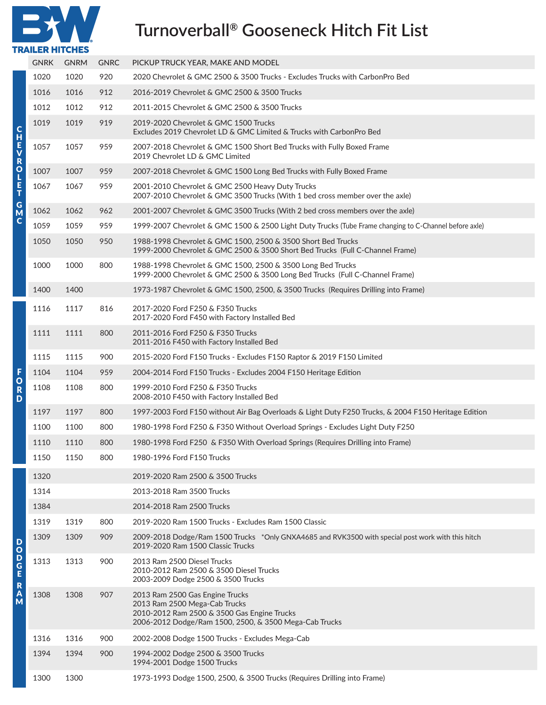# **Turnoverball® Gooseneck Hitch Fit List**

| R                      |  |
|------------------------|--|
| <b>TRAILER HITCHES</b> |  |

|                                                                     | <b>GNRK</b> | <b>GNRM</b> | <b>GNRC</b> | PICKUP TRUCK YEAR, MAKE AND MODEL                                                                                                                                         |
|---------------------------------------------------------------------|-------------|-------------|-------------|---------------------------------------------------------------------------------------------------------------------------------------------------------------------------|
|                                                                     | 1020        | 1020        | 920         | 2020 Chevrolet & GMC 2500 & 3500 Trucks - Excludes Trucks with CarbonPro Bed                                                                                              |
|                                                                     | 1016        | 1016        | 912         | 2016-2019 Chevrolet & GMC 2500 & 3500 Trucks                                                                                                                              |
|                                                                     | 1012        | 1012        | 912         | 2011-2015 Chevrolet & GMC 2500 & 3500 Trucks                                                                                                                              |
| <b>CHAN</b><br>$\overline{R}$<br>L<br>E<br>T<br>G<br>$\overline{M}$ | 1019        | 1019        | 919         | 2019-2020 Chevrolet & GMC 1500 Trucks<br>Excludes 2019 Chevrolet LD & GMC Limited & Trucks with CarbonPro Bed                                                             |
|                                                                     | 1057        | 1057        | 959         | 2007-2018 Chevrolet & GMC 1500 Short Bed Trucks with Fully Boxed Frame<br>2019 Chevrolet LD & GMC Limited                                                                 |
|                                                                     | 1007        | 1007        | 959         | 2007-2018 Chevrolet & GMC 1500 Long Bed Trucks with Fully Boxed Frame                                                                                                     |
|                                                                     | 1067        | 1067        | 959         | 2001-2010 Chevrolet & GMC 2500 Heavy Duty Trucks<br>2007-2010 Chevrolet & GMC 3500 Trucks (With 1 bed cross member over the axle)                                         |
|                                                                     | 1062        | 1062        | 962         | 2001-2007 Chevrolet & GMC 3500 Trucks (With 2 bed cross members over the axle)                                                                                            |
| $\mathbf c$                                                         | 1059        | 1059        | 959         | 1999-2007 Chevrolet & GMC 1500 & 2500 Light Duty Trucks (Tube Frame changing to C-Channel before axle)                                                                    |
|                                                                     | 1050        | 1050        | 950         | 1988-1998 Chevrolet & GMC 1500, 2500 & 3500 Short Bed Trucks<br>1999-2000 Chevrolet & GMC 2500 & 3500 Short Bed Trucks (Full C-Channel Frame)                             |
|                                                                     | 1000        | 1000        | 800         | 1988-1998 Chevrolet & GMC 1500, 2500 & 3500 Long Bed Trucks<br>1999-2000 Chevrolet & GMC 2500 & 3500 Long Bed Trucks (Full C-Channel Frame)                               |
|                                                                     | 1400        | 1400        |             | 1973-1987 Chevrolet & GMC 1500, 2500, & 3500 Trucks (Requires Drilling into Frame)                                                                                        |
|                                                                     | 1116        | 1117        | 816         | 2017-2020 Ford F250 & F350 Trucks<br>2017-2020 Ford F450 with Factory Installed Bed                                                                                       |
|                                                                     | 1111        | 1111        | 800         | 2011-2016 Ford F250 & F350 Trucks<br>2011-2016 F450 with Factory Installed Bed                                                                                            |
|                                                                     | 1115        | 1115        | 900         | 2015-2020 Ford F150 Trucks - Excludes F150 Raptor & 2019 F150 Limited                                                                                                     |
| F                                                                   | 1104        | 1104        | 959         | 2004-2014 Ford F150 Trucks - Excludes 2004 F150 Heritage Edition                                                                                                          |
| $\circ$<br>$\overline{\mathbf{R}}$<br>D                             | 1108        | 1108        | 800         | 1999-2010 Ford F250 & F350 Trucks<br>2008-2010 F450 with Factory Installed Bed                                                                                            |
|                                                                     | 1197        | 1197        | 800         | 1997-2003 Ford F150 without Air Bag Overloads & Light Duty F250 Trucks, & 2004 F150 Heritage Edition                                                                      |
|                                                                     | 1100        | 1100        | 800         | 1980-1998 Ford F250 & F350 Without Overload Springs - Excludes Light Duty F250                                                                                            |
|                                                                     | 1110        | 1110        | 800         | 1980-1998 Ford F250 & F350 With Overload Springs (Requires Drilling into Frame)                                                                                           |
|                                                                     | 1150        | 1150        | 800         | 1980-1996 Ford F150 Trucks                                                                                                                                                |
|                                                                     | 1320        |             |             | 2019-2020 Ram 2500 & 3500 Trucks                                                                                                                                          |
|                                                                     | 1314        |             |             | 2013-2018 Ram 3500 Trucks                                                                                                                                                 |
|                                                                     | 1384        |             |             | 2014-2018 Ram 2500 Trucks                                                                                                                                                 |
|                                                                     | 1319        | 1319        | 800         | 2019-2020 Ram 1500 Trucks - Excludes Ram 1500 Classic                                                                                                                     |
| D<br>$\circ$                                                        | 1309        | 1309        | 909         | 2009-2018 Dodge/Ram 1500 Trucks *Only GNXA4685 and RVK3500 with special post work with this hitch<br>2019-2020 Ram 1500 Classic Trucks                                    |
| $\overline{P}$                                                      | 1313        | 1313        | 900         | 2013 Ram 2500 Diesel Trucks<br>2010-2012 Ram 2500 & 3500 Diesel Trucks<br>2003-2009 Dodge 2500 & 3500 Trucks                                                              |
| R<br>A<br>M                                                         | 1308        | 1308        | 907         | 2013 Ram 2500 Gas Engine Trucks<br>2013 Ram 2500 Mega-Cab Trucks<br>2010-2012 Ram 2500 & 3500 Gas Engine Trucks<br>2006-2012 Dodge/Ram 1500, 2500, & 3500 Mega-Cab Trucks |
|                                                                     | 1316        | 1316        | 900         | 2002-2008 Dodge 1500 Trucks - Excludes Mega-Cab                                                                                                                           |
|                                                                     | 1394        | 1394        | 900         | 1994-2002 Dodge 2500 & 3500 Trucks<br>1994-2001 Dodge 1500 Trucks                                                                                                         |
|                                                                     | 1300        | 1300        |             | 1973-1993 Dodge 1500, 2500, & 3500 Trucks (Requires Drilling into Frame)                                                                                                  |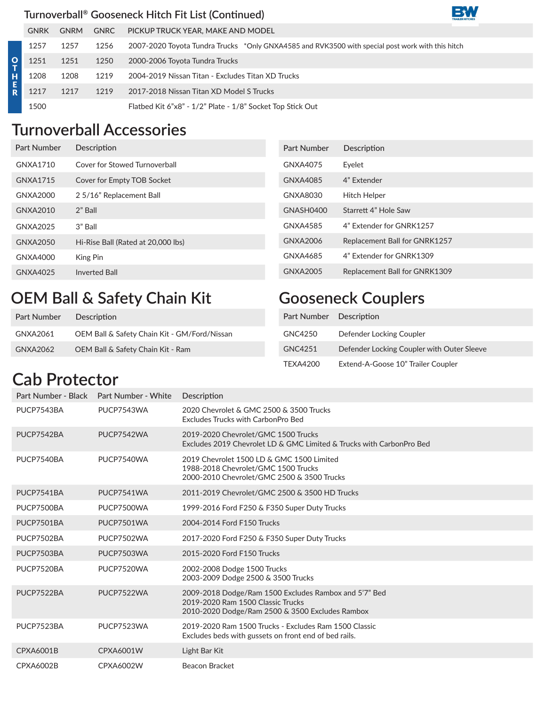#### **Turnoverball® Gooseneck Hitch Fit List (Continued)**

|    | <b>GNRK</b> | <b>GNRM</b> | <b>GNRC</b> | PICKUP TRUCK YEAR, MAKE AND MODEL                                                                |
|----|-------------|-------------|-------------|--------------------------------------------------------------------------------------------------|
|    | 1257        | 1257        | 1256        | 2007-2020 Toyota Tundra Trucks *Only GNXA4585 and RVK3500 with special post work with this hitch |
| O. | 1251        | 1251        | 1250        | 2000-2006 Toyota Tundra Trucks                                                                   |
| н  | 1208        | 1208        | 1219        | 2004-2019 Nissan Titan - Excludes Titan XD Trucks                                                |
|    | 1217        | 1217        | 1219        | 2017-2018 Nissan Titan XD Model S Trucks                                                         |
|    | 1500        |             |             | Flatbed Kit 6"x8" - 1/2" Plate - 1/8" Socket Top Stick Out                                       |

## **Turnoverball Accessories**

| Part Number | Description                        | Part Number | Description                   |
|-------------|------------------------------------|-------------|-------------------------------|
| GNXA1710    | Cover for Stowed Turnoverball      | GNXA4075    | Eyelet                        |
| GNXA1715    | Cover for Empty TOB Socket         | GNXA4085    | 4" Extender                   |
| GNXA2000    | 2 5/16" Replacement Ball           | GNXA8030    | <b>Hitch Helper</b>           |
| GNXA2010    | 2" Ball                            | GNASH0400   | Starrett 4" Hole Saw          |
| GNXA2025    | 3" Ball                            | GNXA4585    | 4" Extender for GNRK1257      |
| GNXA2050    | Hi-Rise Ball (Rated at 20,000 lbs) | GNXA2006    | Replacement Ball for GNRK1257 |
| GNXA4000    | King Pin                           | GNXA4685    | 4" Extender for GNRK1309      |
| GNXA4025    | <b>Inverted Ball</b>               | GNXA2005    | Replacement Ball for GNRK1309 |
|             |                                    |             |                               |

#### **OEM Ball & Safety Chain Kit**

| Part Number | Description                                  |
|-------------|----------------------------------------------|
| GNXA2061    | OEM Ball & Safety Chain Kit - GM/Ford/Nissan |
| GNXA2062    | OEM Ball & Safety Chain Kit - Ram            |

#### **Gooseneck Couplers**

| Part Number Description |                                            |
|-------------------------|--------------------------------------------|
| GNC4250                 | Defender Locking Coupler                   |
| GNC4251                 | Defender Locking Coupler with Outer Sleeve |
| TFXA4200                | Extend-A-Goose 10" Trailer Coupler         |

**BW** 

### **Cab Protector**

| Part Number - Black Part Number - White |            | Description                                                                                                                                   |
|-----------------------------------------|------------|-----------------------------------------------------------------------------------------------------------------------------------------------|
| PUCP7543BA                              | PUCP7543WA | 2020 Chevrolet & GMC 2500 & 3500 Trucks<br>Excludes Trucks with CarbonPro Bed                                                                 |
| PUCP7542BA                              | PUCP7542WA | 2019-2020 Chevrolet/GMC 1500 Trucks<br>Excludes 2019 Chevrolet LD & GMC Limited & Trucks with CarbonPro Bed                                   |
| PUCP7540BA                              | PUCP7540WA | 2019 Chevrolet 1500 LD & GMC 1500 Limited<br>1988-2018 Chevrolet/GMC 1500 Trucks<br>2000-2010 Chevrolet/GMC 2500 & 3500 Trucks                |
| PUCP7541BA                              | PUCP7541WA | 2011-2019 Chevrolet/GMC 2500 & 3500 HD Trucks                                                                                                 |
| PUCP7500BA                              | PUCP7500WA | 1999-2016 Ford F250 & F350 Super Duty Trucks                                                                                                  |
| PUCP7501BA                              | PUCP7501WA | 2004-2014 Ford F150 Trucks                                                                                                                    |
| PUCP7502BA                              | PUCP7502WA | 2017-2020 Ford F250 & F350 Super Duty Trucks                                                                                                  |
| PUCP7503BA                              | PUCP7503WA | 2015-2020 Ford F150 Trucks                                                                                                                    |
| PUCP7520BA                              | PUCP7520WA | 2002-2008 Dodge 1500 Trucks<br>2003-2009 Dodge 2500 & 3500 Trucks                                                                             |
| PUCP7522BA                              | PUCP7522WA | 2009-2018 Dodge/Ram 1500 Excludes Rambox and 5'7" Bed<br>2019-2020 Ram 1500 Classic Trucks<br>2010-2020 Dodge/Ram 2500 & 3500 Excludes Rambox |
| PUCP7523BA                              | PUCP7523WA | 2019-2020 Ram 1500 Trucks - Excludes Ram 1500 Classic<br>Excludes beds with gussets on front end of bed rails.                                |
| <b>CPXA6001B</b>                        | CPXA6001W  | Light Bar Kit                                                                                                                                 |
| CPXA6002B                               | CPXA6002W  | Beacon Bracket                                                                                                                                |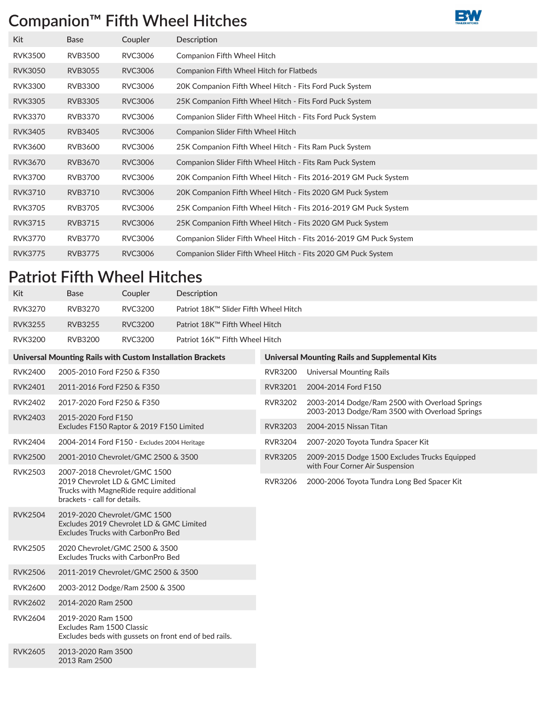#### **Companion™ Fifth Wheel Hitches**



| Kit            | <b>Base</b>    | Coupler        | Description                                                        |
|----------------|----------------|----------------|--------------------------------------------------------------------|
| <b>RVK3500</b> | <b>RVB3500</b> | RVC3006        | <b>Companion Fifth Wheel Hitch</b>                                 |
| <b>RVK3050</b> | <b>RVB3055</b> | <b>RVC3006</b> | <b>Companion Fifth Wheel Hitch for Flatbeds</b>                    |
| <b>RVK3300</b> | <b>RVB3300</b> | RVC3006        | 20K Companion Fifth Wheel Hitch - Fits Ford Puck System            |
| <b>RVK3305</b> | RVB3305        | <b>RVC3006</b> | 25K Companion Fifth Wheel Hitch - Fits Ford Puck System            |
| <b>RVK3370</b> | <b>RVB3370</b> | RVC3006        | Companion Slider Fifth Wheel Hitch - Fits Ford Puck System         |
| <b>RVK3405</b> | <b>RVB3405</b> | <b>RVC3006</b> | <b>Companion Slider Fifth Wheel Hitch</b>                          |
| <b>RVK3600</b> | <b>RVB3600</b> | RVC3006        | 25K Companion Fifth Wheel Hitch - Fits Ram Puck System             |
| <b>RVK3670</b> | RVB3670        | <b>RVC3006</b> | Companion Slider Fifth Wheel Hitch - Fits Ram Puck System          |
| <b>RVK3700</b> | <b>RVB3700</b> | RVC3006        | 20K Companion Fifth Wheel Hitch - Fits 2016-2019 GM Puck System    |
| <b>RVK3710</b> | <b>RVB3710</b> | <b>RVC3006</b> | 20K Companion Fifth Wheel Hitch - Fits 2020 GM Puck System         |
| <b>RVK3705</b> | <b>RVB3705</b> | RVC3006        | 25K Companion Fifth Wheel Hitch - Fits 2016-2019 GM Puck System    |
| <b>RVK3715</b> | <b>RVB3715</b> | <b>RVC3006</b> | 25K Companion Fifth Wheel Hitch - Fits 2020 GM Puck System         |
| <b>RVK3770</b> | <b>RVB3770</b> | RVC3006        | Companion Slider Fifth Wheel Hitch - Fits 2016-2019 GM Puck System |
| <b>RVK3775</b> | <b>RVB3775</b> | <b>RVC3006</b> | Companion Slider Fifth Wheel Hitch - Fits 2020 GM Puck System      |

#### **Patriot Fifth Wheel Hitches**

2013 Ram 2500

| Kit            | Base           | Coupler        | Description                           |
|----------------|----------------|----------------|---------------------------------------|
| RVK3270        | <b>RVB3270</b> | RVC3200        | Patriot 18K™ Slider Fifth Wheel Hitch |
| <b>RVK3255</b> | <b>RVB3255</b> | <b>RVC3200</b> | Patriot 18K™ Fifth Wheel Hitch        |
| RVK3200        | <b>RVB3200</b> | RVC3200        | Patriot 16K™ Fifth Wheel Hitch        |

|                | Universal Mounting Rails with Custom Installation Brackets                                                                                  | <b>Universal Mounting Rails and Supplemental Kits</b> |                                                                                |  |  |  |
|----------------|---------------------------------------------------------------------------------------------------------------------------------------------|-------------------------------------------------------|--------------------------------------------------------------------------------|--|--|--|
| <b>RVK2400</b> | 2005-2010 Ford F250 & F350                                                                                                                  | <b>RVR3200</b>                                        | <b>Universal Mounting Rails</b>                                                |  |  |  |
| <b>RVK2401</b> | 2011-2016 Ford F250 & F350                                                                                                                  | <b>RVR3201</b>                                        | 2004-2014 Ford F150                                                            |  |  |  |
| <b>RVK2402</b> | 2017-2020 Ford F250 & F350                                                                                                                  | <b>RVR3202</b>                                        | 2003-2014 Dodge/Ram 2500 with Overload Springs                                 |  |  |  |
| <b>RVK2403</b> | 2015-2020 Ford F150<br>Excludes F150 Raptor & 2019 F150 Limited                                                                             | <b>RVR3203</b>                                        | 2003-2013 Dodge/Ram 3500 with Overload Springs<br>2004-2015 Nissan Titan       |  |  |  |
| <b>RVK2404</b> | 2004-2014 Ford F150 - Excludes 2004 Heritage                                                                                                | <b>RVR3204</b>                                        | 2007-2020 Toyota Tundra Spacer Kit                                             |  |  |  |
| <b>RVK2500</b> | 2001-2010 Chevrolet/GMC 2500 & 3500                                                                                                         | <b>RVR3205</b>                                        | 2009-2015 Dodge 1500 Excludes Trucks Equipped                                  |  |  |  |
| <b>RVK2503</b> | 2007-2018 Chevrolet/GMC 1500<br>2019 Chevrolet LD & GMC Limited<br>Trucks with MagneRide require additional<br>brackets - call for details. | <b>RVR3206</b>                                        | with Four Corner Air Suspension<br>2000-2006 Toyota Tundra Long Bed Spacer Kit |  |  |  |
| <b>RVK2504</b> | 2019-2020 Chevrolet/GMC 1500<br>Excludes 2019 Chevrolet LD & GMC Limited<br><b>Excludes Trucks with CarbonPro Bed</b>                       |                                                       |                                                                                |  |  |  |
| <b>RVK2505</b> | 2020 Chevrolet/GMC 2500 & 3500<br>Excludes Trucks with CarbonPro Bed                                                                        |                                                       |                                                                                |  |  |  |
| <b>RVK2506</b> | 2011-2019 Chevrolet/GMC 2500 & 3500                                                                                                         |                                                       |                                                                                |  |  |  |
| <b>RVK2600</b> | 2003-2012 Dodge/Ram 2500 & 3500                                                                                                             |                                                       |                                                                                |  |  |  |
| <b>RVK2602</b> | 2014-2020 Ram 2500                                                                                                                          |                                                       |                                                                                |  |  |  |
| <b>RVK2604</b> | 2019-2020 Ram 1500<br>Excludes Ram 1500 Classic<br>Excludes beds with gussets on front end of bed rails.                                    |                                                       |                                                                                |  |  |  |
| <b>RVK2605</b> | 2013-2020 Ram 3500                                                                                                                          |                                                       |                                                                                |  |  |  |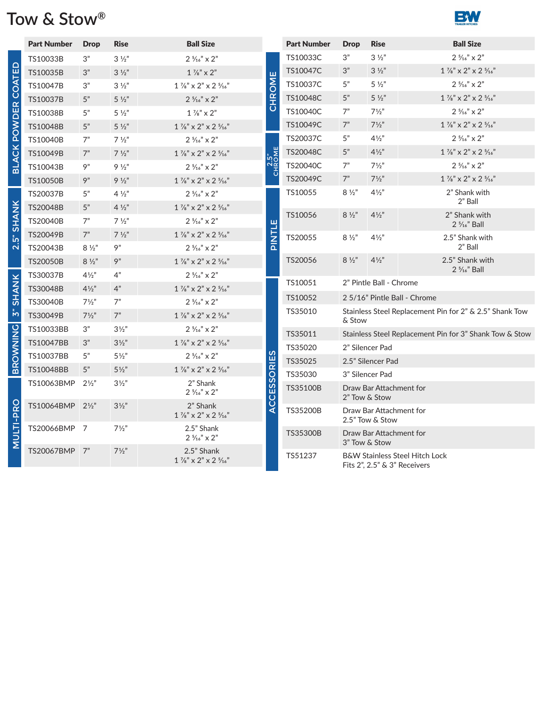# **Tow & Stow ®**



|                            | <b>Part Number</b>          | <b>Drop</b>      | <b>Rise</b>                      | <b>Ball Size</b>                                                     |                    | <b>Part Number</b> | <b>Drop</b>                                                       | <b>Rise</b>                                             | <b>Ball Size</b>                                                                            |  |
|----------------------------|-----------------------------|------------------|----------------------------------|----------------------------------------------------------------------|--------------------|--------------------|-------------------------------------------------------------------|---------------------------------------------------------|---------------------------------------------------------------------------------------------|--|
|                            | TS10033B                    | 3"               | $3\frac{1}{2}$                   | $2\frac{5}{16}$ " x 2"                                               |                    | TS10033C           | 3"                                                                | $3\frac{1}{2}$                                          | $2\frac{5}{16}$ " x $2$ "                                                                   |  |
|                            | TS10035B                    | 3"               | $3\frac{1}{2}$                   | $1\frac{7}{8}$ " $\times$ 2"                                         | ш                  | TS10047C           | 3"                                                                | $3\frac{1}{2}$                                          | $1\frac{7}{8}$ " x 2" x 2 $\frac{5}{16}$ "                                                  |  |
|                            | TS10047B                    | 3"               | $3\frac{1}{2}$                   | $1\frac{7}{8}$ " x 2" x 2 $\frac{5}{16}$ "                           | CHROM              | TS10037C           | 5"                                                                | $5\frac{1}{2}$                                          | $2\frac{5}{16}$ " x $2$ "                                                                   |  |
|                            | TS10037B                    | 5"               | $5 \frac{1}{2}$                  | $2\frac{5}{16}$ " x $2$ "                                            |                    | TS10048C           | 5"                                                                | $5 \frac{1}{2}$                                         | $1\,\%''\times2''\times2\,\%''$                                                             |  |
| <b>BLACK POWDER COATED</b> | TS10038B                    | 5"               | $5\frac{1}{2}$                   | $1\frac{7}{8}$ " x 2"                                                |                    | TS10040C           | 7"                                                                | $7\frac{1}{2}$ "                                        | $2\frac{5}{16}$ " x $2$ "                                                                   |  |
|                            | TS10048B                    | 5"               | $5\frac{1}{2}$                   | $1\frac{7}{8}$ " x 2" x 2 $\frac{5}{16}$ "                           |                    | TS10049C           | 7"                                                                | $7\frac{1}{2}$                                          | $1\frac{7}{8}$ " x 2" x 2 $\frac{5}{16}$ "                                                  |  |
|                            | <b>TS10040B</b>             | 7"               | $7 \frac{1}{2}$                  | $2\frac{5}{16}$ " x $2$ "                                            |                    | TS20037C           | 5"                                                                | $4\frac{1}{2}$                                          | $2\frac{5}{16}$ " x 2"                                                                      |  |
|                            | TS10049B                    | 7"               | $7\frac{1}{2}$                   | $1\frac{7}{8}$ " x 2" x 2 $\frac{5}{16}$ "                           | CHROME             | TS20048C           | 5"                                                                | $4\frac{1}{2}$                                          | $1\frac{7}{8}$ " x 2" x 2 $\frac{5}{16}$ "                                                  |  |
|                            | TS10043B                    | 9"               | $9\frac{1}{2}$                   | $2\frac{5}{16}$ " x 2"                                               |                    | TS20040C           | 7"                                                                | $7\frac{1}{2}$                                          | $2\frac{5}{16}$ " x 2"                                                                      |  |
|                            | <b>TS10050B</b>             | 9"               | $9\frac{1}{2}$                   | $1\frac{7}{8}$ " x 2" x 2 $\frac{5}{16}$ "                           |                    | TS20049C           | 7"                                                                | $7\frac{1}{2}$ "                                        | $1\mathrel{{}^\circ}\!\!{}/_8$ " $\times$ 2 " $\times$ 2 $\mathrel{{}^\circ}\!\!{}/_{16}$ " |  |
|                            | TS20037B                    | 5"               | $4\frac{1}{2}$                   | $2\frac{5}{16}$ " x $2$ "                                            |                    | TS10055            | $8\frac{1}{2}$                                                    | $4\frac{1}{2}$ "                                        | 2" Shank with<br>2" Ball                                                                    |  |
| <b>SHANK</b>               | TS20048B<br><b>TS20040B</b> | 5"<br>7"         | $4\frac{1}{2}$<br>$7\frac{1}{2}$ | $1\frac{7}{8}$ " x 2" x 2 $\frac{5}{16}$ "<br>$2\frac{5}{16}$ " x 2" |                    | TS10056            | $8 \frac{1}{2}$                                                   | $4\frac{1}{2}$                                          | 2" Shank with<br>$2\frac{5}{16}$ " Ball                                                     |  |
| ້ຳ                         | TS20049B                    | 7"               | $7\frac{1}{2}$                   | $1\frac{7}{8}$ " x 2" x 2 $\frac{5}{16}$ "                           | <b>FINTLE</b>      | TS20055            | $8\frac{1}{2}$                                                    | $4\frac{1}{2}$                                          | 2.5" Shank with                                                                             |  |
| $\overline{N}$             | TS20043B                    | $8\frac{1}{2}$   | 9"                               | $2\frac{5}{16}$ " x $2$ "                                            |                    |                    |                                                                   |                                                         | $2"$ Ball                                                                                   |  |
|                            | <b>TS20050B</b>             | $8\frac{1}{2}$   | 9"                               | $1\mathbin{\%}''\times2''\times2\mathbin{\%}''$                      |                    | TS20056            | $8\frac{1}{2}$                                                    | $4\frac{1}{2}$                                          | 2.5" Shank with<br>$2\frac{5}{16}$ " Ball                                                   |  |
|                            | TS30037B                    | $4\frac{1}{2}$ " | 4"                               | $2\frac{5}{16}$ " x $2$ "                                            |                    | TS10051            |                                                                   | 2" Pintle Ball - Chrome                                 |                                                                                             |  |
| 3" SHANK                   | TS30048B                    | $4\frac{1}{2}$   | 4"                               | $1\frac{7}{8}$ " x 2" x 2 $\frac{5}{16}$ "                           |                    |                    |                                                                   | 2 5/16" Pintle Ball - Chrome                            |                                                                                             |  |
|                            | TS30040B                    | $7\frac{1}{2}$ " | 7"                               | $2\frac{5}{16}$ " x 2"                                               |                    | TS10052            |                                                                   |                                                         |                                                                                             |  |
|                            | TS30049B                    | $7\frac{1}{2}$ " | 7"                               | $1\frac{7}{8}$ " x 2" x 2 $\frac{5}{16}$ "                           |                    | TS35010            | Stainless Steel Replacement Pin for 2" & 2.5" Shank Tow<br>& Stow |                                                         |                                                                                             |  |
| <b>BROWNING</b>            | TS10033BB                   | 3"               | $3\frac{1}{2}$                   | $2\frac{5}{16}$ " x $2$ "                                            |                    | TS35011            |                                                                   | Stainless Steel Replacement Pin for 3" Shank Tow & Stow |                                                                                             |  |
|                            | TS10047BB                   | 3"               | $3\frac{1}{2}$                   | $1\mathbin{\%}''\times2''\times2\mathbin{\%}''$                      |                    | TS35020            | 2" Silencer Pad                                                   |                                                         |                                                                                             |  |
|                            | <b>TS10037BB</b>            | 5"               | $5\frac{1}{2}$                   | $2\frac{5}{16}$ " x 2"                                               |                    | TS35025            | 2.5" Silencer Pad                                                 |                                                         |                                                                                             |  |
|                            | TS10048BB                   | 5"               | $5\frac{1}{2}$                   | $1\frac{7}{8}$ " x 2" x 2 $\frac{5}{16}$ "                           |                    | TS35030            | 3" Silencer Pad                                                   |                                                         |                                                                                             |  |
|                            | TS10063BMP                  | $2\frac{1}{2}$ " | $3\frac{1}{2}$                   | 2" Shank<br>$2\frac{5}{16}$ " x $2$ "                                | <b>ACCESSORIES</b> | <b>TS35100B</b>    | Draw Bar Attachment for<br>2" Tow & Stow                          |                                                         |                                                                                             |  |
| <b>MULTI-PRO</b>           | TS10064BMP                  | $2\frac{1}{2}$   | $3\frac{1}{2}$                   | 2" Shank<br>$1\frac{7}{8}$ " x 2" x 2 $\frac{5}{16}$ "               |                    | TS35200B           |                                                                   | Draw Bar Attachment for<br>2.5" Tow & Stow              |                                                                                             |  |
|                            | TS20066BMP 7                |                  | $7\frac{1}{2}$ "                 | 2.5" Shank<br>$2\frac{5}{16}$ " x $2$ "                              |                    | TS35300B           |                                                                   | Draw Bar Attachment for<br>3" Tow & Stow                |                                                                                             |  |
|                            | TS20067BMP                  | 7"               | $7\frac{1}{2}$ "                 | 2.5" Shank<br>$1\frac{7}{8}$ " x $2$ " x $2\frac{5}{16}$ "           |                    | TS51237            |                                                                   |                                                         | <b>B&amp;W Stainless Steel Hitch Lock</b><br>Fits 2", 2.5" & 3" Receivers                   |  |